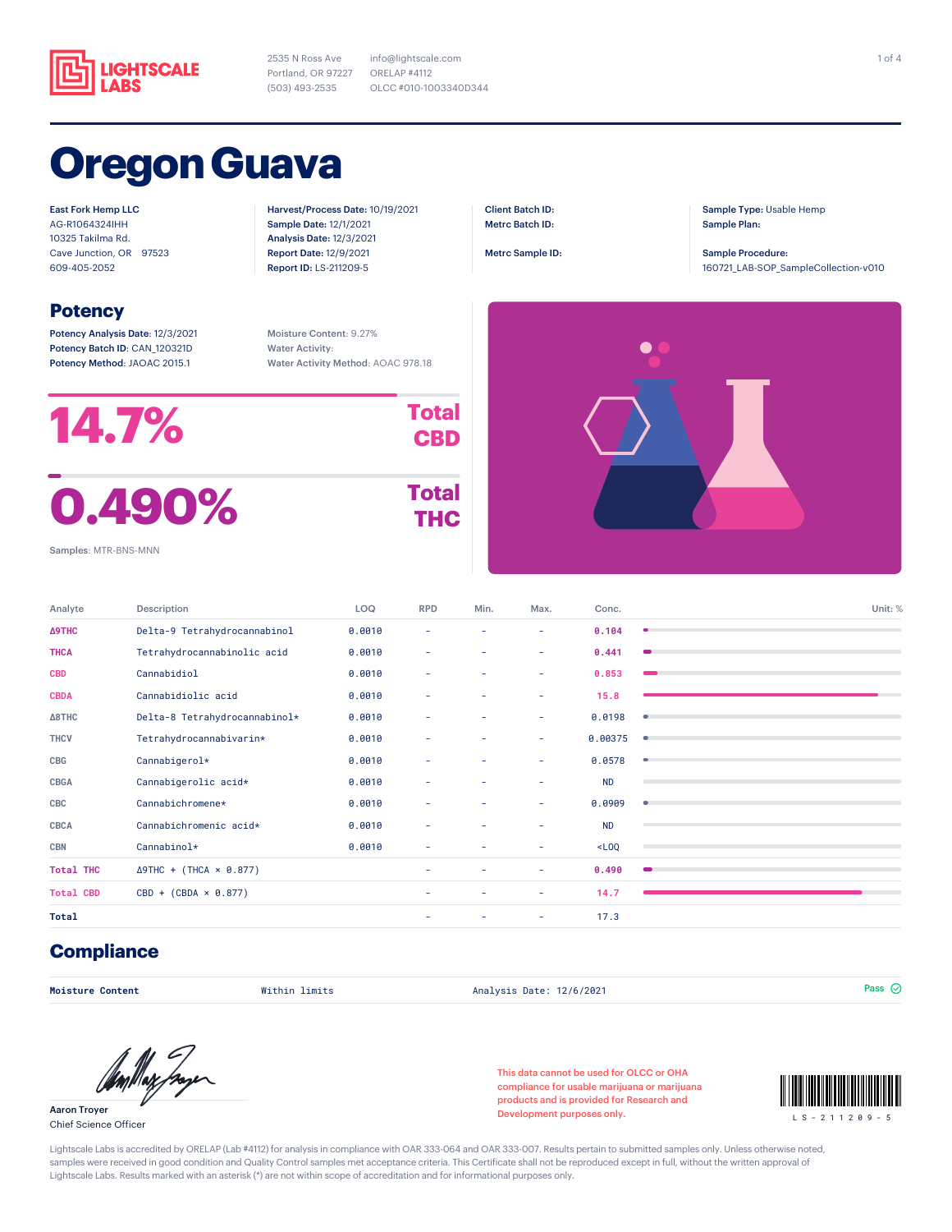

2535 N Ross Ave Portland, OR 97227 (503) 493-2535

info@lightscale.com ORELAP #4112 OLCC #010-1003340D344

> Client Batch ID: Metrc Batch ID: Metrc Sample ID:

# **Oregon Guava**

East Fork Hemp LLC AG-R1064324IHH 10325 Takilma Rd. Cave Junction, OR 97523 609-405-2052

### **Potency**

Potency Analysis Date: 12/3/2021 Potency Batch ID: CAN\_120321D Potency Method: JAOAC 2015.1

Moisture Content: 9.27% Water Activity: Water Activity Method: AOAC 978.18

Harvest/Process Date: 10/19/2021 Sample Date: 12/1/2021 Analysis Date: 12/3/2021 Report Date: 12/9/2021 Report ID: LS-211209-5



 $\bullet$ 

Sample Type: Usable Hemp

160721\_LAB-SOP\_SampleCollection-v010

Sample Plan: Sample Procedure:

Samples: MTR-BNS-MNN

| Description                    | LOQ    | <b>RPD</b> | Min.   | Max. | Conc.     |                 |
|--------------------------------|--------|------------|--------|------|-----------|-----------------|
| Delta-9 Tetrahydrocannabinol   | 0.0010 | ٠          | ۰      | ٠    | 0.104     |                 |
| Tetrahydrocannabinolic acid    | 0.0010 | ٠          | ۰      | ٠    | 0.441     |                 |
| Cannabidiol                    | 0.0010 | ۰          | ٠      | ۰    | 0.853     |                 |
| Cannabidiolic acid             | 0.0010 | ٠          | $\sim$ | ٠    | 15.8      |                 |
| Delta-8 Tetrahydrocannabinol*  | 0.0010 | ٠          | ٠      | ٠    | 0.0198    | ۰               |
| Tetrahydrocannabivarin*        | 0.0010 | ٠          | ٠      | ٠    | 0.00375   | ٠               |
| Cannabigerol*                  | 0.0010 | ٠          | ۰      | ٠    | 0.0578    | ۰               |
| Cannabigerolic acid*           | 0.0010 | ٠          | ٠      | ٠    | <b>ND</b> |                 |
| Cannabichromene*               | 0.0010 | ٠          | ٠      | ٠    | 0.0909    | ۰               |
| Cannabichromenic acid*         | 0.0010 | ۰          | ٠      | ۰    | <b>ND</b> |                 |
| Cannabinol*                    | 0.0010 | ٠          | ٠      | ٠    | $<$ LOQ   |                 |
| $\Delta$ 9THC + (THCA × 0.877) |        | ۰          | ٠      | ٠    | 0.490     | $\qquad \qquad$ |
| $CBD + (CBDA \times 0.877)$    |        | $\sim$     | ٠      | ٠    | 14.7      |                 |
|                                |        | ۰          | ٠      | ٠    | 17.3      |                 |
|                                |        |            |        |      |           |                 |

### **Compliance**

**Moisture Content** Within limits Analysis Date: 12/6/2021 Pass

Aaron Troyer Chief Science Officer

This data cannot be used for OLCC or OHA compliance for usable marijuana or marijuana products and is provided for Research and Development purposes only.



Lightscale Labs is accredited by ORELAP (Lab #4112) for analysis in compliance with OAR 333-064 and OAR 333-007. Results pertain to submitted samples only. Unless otherwise noted, samples were received in good condition and Quality Control samples met acceptance criteria. This Certificate shall not be reproduced except in full, without the written approval of Lightscale Labs. Results marked with an asterisk (\*) are not within scope of accreditation and for informational purposes only.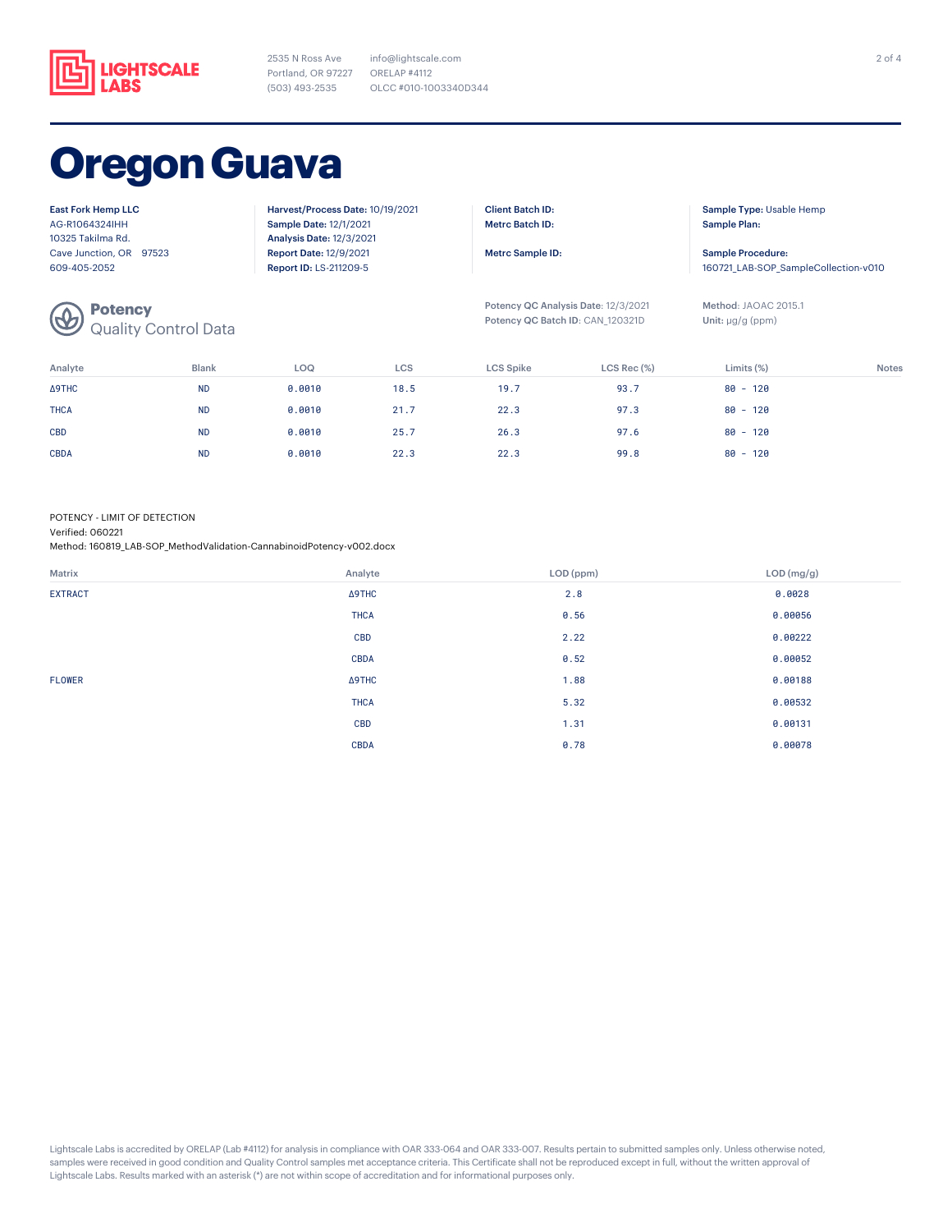

2535 N Ross Ave Portland, OR 97227 (503) 493-2535

info@lightscale.com ORELAP #4112 OLCC #010-1003340D344

## **Oregon Guava**

| <b>East Fork Hemp LLC</b>                                                                                                                                                                                                                                                                                                                                                                                                                                                                                                     | Harvest/Process Date: 10/19/2021 | <b>Client Batch ID:</b>             | Sample Type: Usable Hemp             |
|-------------------------------------------------------------------------------------------------------------------------------------------------------------------------------------------------------------------------------------------------------------------------------------------------------------------------------------------------------------------------------------------------------------------------------------------------------------------------------------------------------------------------------|----------------------------------|-------------------------------------|--------------------------------------|
| AG-R1064324IHH                                                                                                                                                                                                                                                                                                                                                                                                                                                                                                                | <b>Sample Date: 12/1/2021</b>    | <b>Metrc Batch ID:</b>              | Sample Plan:                         |
| 10325 Takilma Rd.                                                                                                                                                                                                                                                                                                                                                                                                                                                                                                             | <b>Analysis Date: 12/3/2021</b>  |                                     |                                      |
| Cave Junction, OR 97523                                                                                                                                                                                                                                                                                                                                                                                                                                                                                                       | <b>Report Date: 12/9/2021</b>    | Metrc Sample ID:                    | Sample Procedure:                    |
| 609-405-2052                                                                                                                                                                                                                                                                                                                                                                                                                                                                                                                  | Report ID: LS-211209-5           |                                     | 160721 LAB-SOP SampleCollection-v010 |
|                                                                                                                                                                                                                                                                                                                                                                                                                                                                                                                               |                                  | Potency QC Analysis Date: 12/3/2021 | Method: JAOAC 2015.1                 |
| <b>Potency</b><br>Quality Control Data<br>$\bigcirc\!\!\!\!\! \bigcirc\!\!\!\!\! \bigcirc\!\!\!\!\! \bigcirc\!\!\!\!\! \bigcirc\!\!\!\!\! \bigcirc\!\!\!\!\! \bigcirc\!\!\!\!\! \bigcirc\!\!\!\!\! \bigcirc\!\!\!\!\! \bigcirc\!\!\!\!\! \bigcirc\!\!\!\!\! \bigcirc\!\!\!\!\! \bigcirc\!\!\!\!\! \bigcirc\!\!\!\!\! \bigcirc\!\!\!\!\! \bigcirc\!\!\!\!\! \bigcirc\!\!\!\!\! \bigcirc\!\!\!\! \bigcirc\!\!\!\!\! \bigcirc\!\!\!\!\! \bigcirc\!\!\!\!\! \bigcirc\!\!\!\!\! \bigcirc\!\!\!\!\! \bigcirc\!\!\!\!\! \bigcirc\!\$ |                                  | Potency QC Batch ID: CAN 120321D    | Unit: $\mu q/q$ (ppm)                |

Analyte Blank LOQ LCS LCS Spike LCS Rec (%) Limits (%) Notes Δ9THC ND 0.0010 18.5 19.7 93.7 80 - 120 THCA ND 0.0010 21 . 7 22 . 3 80 - 120 CBD ND 0.0010 25.7 26.3 97.6 80 - 120 CBDA ND 0.0010 22.3 22.3 99.8 80 - 120

POTENCY - LIMIT OF DETECTION

Verified: 060221

Method: 160819\_LAB-SOP\_MethodValidation-CannabinoidPotency-v002.docx

| Matrix         | Analyte       | LOD (ppm) | LOD (mg/g) |
|----------------|---------------|-----------|------------|
| <b>EXTRACT</b> | $\Delta$ 9THC | 2.8       | 0.0028     |
|                | <b>THCA</b>   | 0.56      | 0.00056    |
|                | <b>CBD</b>    | 2.22      | 0.00222    |
|                | <b>CBDA</b>   | 0.52      | 0.00052    |
| FLOWER         | $\Delta$ 9THC | 1.88      | 0.00188    |
|                | <b>THCA</b>   | 5.32      | 0.00532    |
|                | <b>CBD</b>    | 1.31      | 0.00131    |
|                | <b>CBDA</b>   | 0.78      | 0.00078    |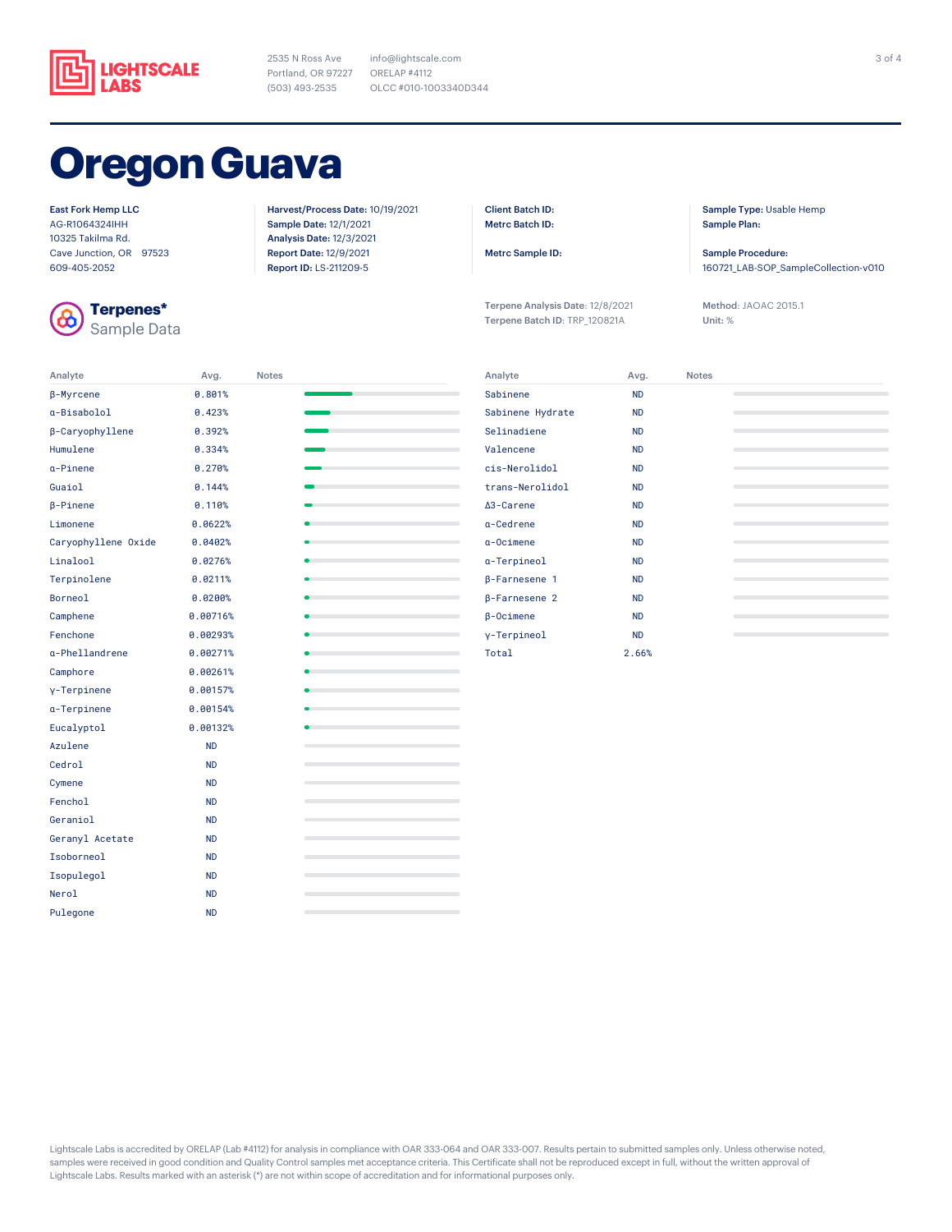

2535 N Ross Ave Portland, OR 97227 (503) 493-2535

info@lightscale.com ORELAP #4112 OLCC #010-1003340D344

## **Oregon Guava**

#### East Fork Hemp LLC

AG-R1064324IHH 10325 Takilma Rd. Cave Junction, OR 97523 609-405-2052



**Terpenes\*** Sample Data

Analyte Avg. Notes

Harvest/Process Date: 10/19/2021 Sample Date: 12/1/2021 Analysis Date: 12/3/2021 Report Date: 12/9/2021 Report ID: LS-211209-5

Client Batch ID: Metrc Batch ID:

Metrc Sample ID:

Terpene Analysis Date: 12/8/2021 Terpene Batch ID: TRP\_120821A

Sample Type: Usable Hemp Sample Plan:

Sample Procedure: 160721\_LAB-SOP\_SampleCollection-v010

Method: JAOAC 2015.1 Unit: %

| β-Myrcene           | 0.801%    |                                                                            |
|---------------------|-----------|----------------------------------------------------------------------------|
| a-Bisabolol         | 0.423%    |                                                                            |
| β-Caryophyllene     | 0.392%    |                                                                            |
| Humulene            | 0.334%    | the control of the control of                                              |
| a-Pinene            | 0.270%    | the control of the control of the                                          |
| Guaiol              | 0.144%    | the control of the control of the con-                                     |
| $\beta$ -Pinene     | 0.110%    |                                                                            |
| Limonene            | 0.0622%   | the control of the control of the                                          |
| Caryophyllene Oxide | 0.0402%   |                                                                            |
| Linalool            | 0.0276%   |                                                                            |
| Terpinolene         | 0.0211%   | the control of the control of the                                          |
| Borneol             | 0.0200%   |                                                                            |
| Camphene            | 0.00716%  |                                                                            |
| Fenchone            | 0.00293%  | the company's company's company's                                          |
| a-Phellandrene      | 0.00271%  | the company's company's company's                                          |
| Camphore            | 0.00261%  | the control of the control of the control of                               |
| y-Terpinene         | 0.00157%  | the contract of the contract of the                                        |
| a-Terpinene         | 0.00154%  | the control of the control of the                                          |
| Eucalyptol          | 0.00132%  |                                                                            |
| Azulene             | <b>ND</b> | the control of the control of the control of the control of the control of |
| Cedrol              | <b>ND</b> |                                                                            |
| Cymene              | <b>ND</b> |                                                                            |
| Fenchol             | <b>ND</b> |                                                                            |
| Geraniol            | <b>ND</b> |                                                                            |
| Geranyl Acetate     | <b>ND</b> |                                                                            |
| Isoborneol          | <b>ND</b> |                                                                            |
| Isopulegol          | <b>ND</b> |                                                                            |
| Nerol               | <b>ND</b> |                                                                            |
| Pulegone            | <b>ND</b> |                                                                            |

| Sabinene<br><b>ND</b><br>Sabinene Hydrate<br><b>ND</b><br>Selinadiene<br><b>ND</b><br>Valencene<br><b>ND</b><br>cis-Nerolidol<br><b>ND</b><br>trans-Nerolidol<br><b>ND</b><br>A <sub>3</sub> -Carene<br><b>ND</b><br>a-Cedrene<br><b>ND</b><br>$a$ -Ocimene<br><b>ND</b><br>a-Terpineol<br><b>ND</b><br><b>B-Farnesene 1</b><br><b>ND</b><br><b>B-Farnesene 2</b><br><b>ND</b><br>$\beta$ -Ocimene<br><b>ND</b><br>y-Terpineol<br><b>ND</b> | Analyte | Avg.  | <b>Notes</b> |  |
|---------------------------------------------------------------------------------------------------------------------------------------------------------------------------------------------------------------------------------------------------------------------------------------------------------------------------------------------------------------------------------------------------------------------------------------------|---------|-------|--------------|--|
|                                                                                                                                                                                                                                                                                                                                                                                                                                             |         |       |              |  |
|                                                                                                                                                                                                                                                                                                                                                                                                                                             |         |       |              |  |
|                                                                                                                                                                                                                                                                                                                                                                                                                                             |         |       |              |  |
|                                                                                                                                                                                                                                                                                                                                                                                                                                             |         |       |              |  |
|                                                                                                                                                                                                                                                                                                                                                                                                                                             |         |       |              |  |
|                                                                                                                                                                                                                                                                                                                                                                                                                                             |         |       |              |  |
|                                                                                                                                                                                                                                                                                                                                                                                                                                             |         |       |              |  |
|                                                                                                                                                                                                                                                                                                                                                                                                                                             |         |       |              |  |
|                                                                                                                                                                                                                                                                                                                                                                                                                                             |         |       |              |  |
|                                                                                                                                                                                                                                                                                                                                                                                                                                             |         |       |              |  |
|                                                                                                                                                                                                                                                                                                                                                                                                                                             |         |       |              |  |
|                                                                                                                                                                                                                                                                                                                                                                                                                                             |         |       |              |  |
|                                                                                                                                                                                                                                                                                                                                                                                                                                             |         |       |              |  |
|                                                                                                                                                                                                                                                                                                                                                                                                                                             |         |       |              |  |
|                                                                                                                                                                                                                                                                                                                                                                                                                                             | Total   | 2.66% |              |  |